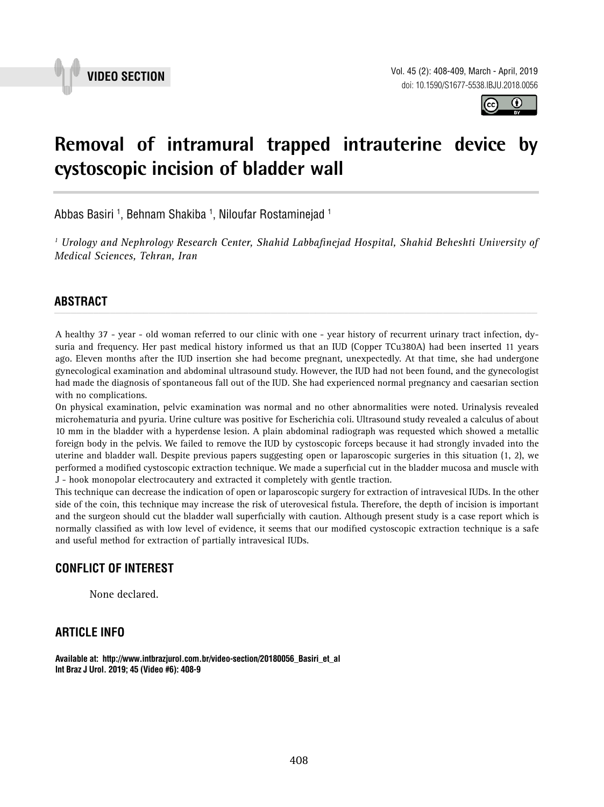



## **Removal of intramural trapped intrauterine device by cystoscopic incision of bladder wall \_\_\_\_\_\_\_\_\_\_\_\_\_\_\_\_\_\_\_\_\_\_\_\_\_\_\_\_\_\_\_\_\_\_\_\_\_\_\_\_\_\_\_\_\_\_\_**

Abbas Basiri <sup>1</sup>, Behnam Shakiba <sup>1</sup>, Niloufar Rostaminejad <sup>1</sup>

*1 Urology and Nephrology Research Center, Shahid Labbafinejad Hospital, Shahid Beheshti University of Medical Sciences, Tehran, Iran*

# **ABSTRACT** *\_\_\_\_\_\_\_\_\_\_\_\_\_\_\_\_\_\_\_\_\_\_\_\_\_\_\_\_\_\_\_\_\_\_\_\_\_\_\_\_\_\_\_\_\_\_\_\_\_\_\_\_\_\_\_\_\_\_\_\_\_\_\_\_\_\_\_\_\_\_\_\_\_\_\_\_\_\_\_\_\_\_\_\_\_\_\_*

A healthy 37 - year - old woman referred to our clinic with one - year history of recurrent urinary tract infection, dysuria and frequency. Her past medical history informed us that an IUD (Copper TCu380A) had been inserted 11 years ago. Eleven months after the IUD insertion she had become pregnant, unexpectedly. At that time, she had undergone gynecological examination and abdominal ultrasound study. However, the IUD had not been found, and the gynecologist had made the diagnosis of spontaneous fall out of the IUD. She had experienced normal pregnancy and caesarian section with no complications.

On physical examination, pelvic examination was normal and no other abnormalities were noted. Urinalysis revealed microhematuria and pyuria. Urine culture was positive for Escherichia coli. Ultrasound study revealed a calculus of about 10 mm in the bladder with a hyperdense lesion. A plain abdominal radiograph was requested which showed a metallic foreign body in the pelvis. We failed to remove the IUD by cystoscopic forceps because it had strongly invaded into the uterine and bladder wall. Despite previous papers suggesting open or laparoscopic surgeries in this situation (1, 2), we performed a modified cystoscopic extraction technique. We made a superficial cut in the bladder mucosa and muscle with J - hook monopolar electrocautery and extracted it completely with gentle traction.

This technique can decrease the indication of open or laparoscopic surgery for extraction of intravesical IUDs. In the other side of the coin, this technique may increase the risk of uterovesical fistula. Therefore, the depth of incision is important and the surgeon should cut the bladder wall superficially with caution. Although present study is a case report which is normally classified as with low level of evidence, it seems that our modified cystoscopic extraction technique is a safe and useful method for extraction of partially intravesical IUDs.

### **CONFLICT OF INTEREST**

None declared.

### **ARTICLE INFO**

**Available at: http://www.intbrazjurol.com.br/video-section/20180056\_Basiri\_et\_al Int Braz J Urol. 2019; 45 (Video #6): 408-9**